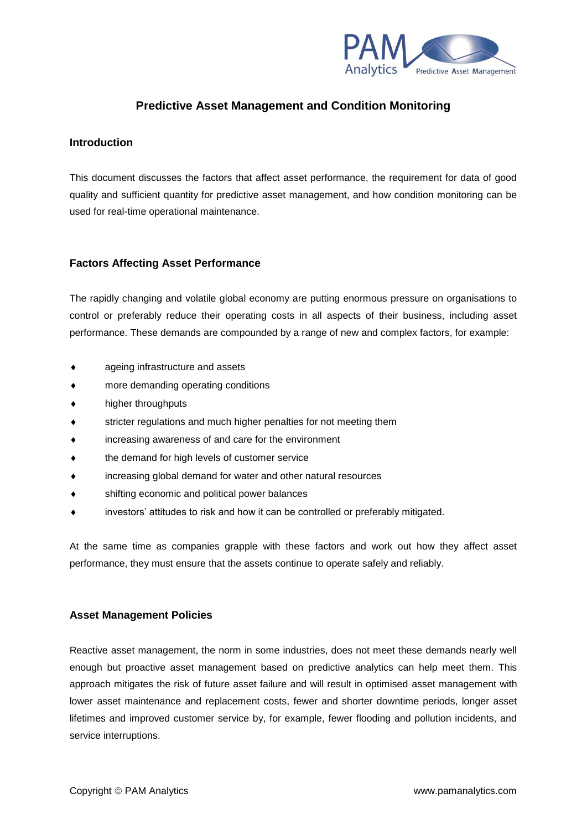

# **Predictive Asset Management and Condition Monitoring**

## **Introduction**

This document discusses the factors that affect asset performance, the requirement for data of good quality and sufficient quantity for predictive asset management, and how condition monitoring can be used for real-time operational maintenance.

## **Factors Affecting Asset Performance**

The rapidly changing and volatile global economy are putting enormous pressure on organisations to control or preferably reduce their operating costs in all aspects of their business, including asset performance. These demands are compounded by a range of new and complex factors, for example:

- ageing infrastructure and assets
- more demanding operating conditions
- higher throughputs
- stricter regulations and much higher penalties for not meeting them
- increasing awareness of and care for the environment
- the demand for high levels of customer service
- increasing global demand for water and other natural resources
- shifting economic and political power balances
- investors' attitudes to risk and how it can be controlled or preferably mitigated.

At the same time as companies grapple with these factors and work out how they affect asset performance, they must ensure that the assets continue to operate safely and reliably.

## **Asset Management Policies**

Reactive asset management, the norm in some industries, does not meet these demands nearly well enough but proactive asset management based on predictive analytics can help meet them. This approach mitigates the risk of future asset failure and will result in optimised asset management with lower asset maintenance and replacement costs, fewer and shorter downtime periods, longer asset lifetimes and improved customer service by, for example, fewer flooding and pollution incidents, and service interruptions.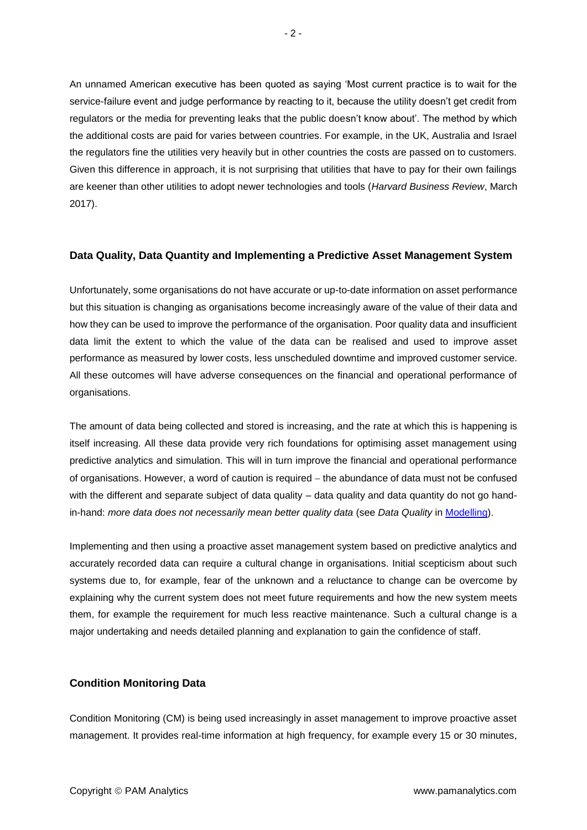An unnamed American executive has been quoted as saying 'Most current practice is to wait for the service-failure event and judge performance by reacting to it, because the utility doesn't get credit from regulators or the media for preventing leaks that the public doesn't know about'. The method by which the additional costs are paid for varies between countries. For example, in the UK, Australia and Israel the regulators fine the utilities very heavily but in other countries the costs are passed on to customers. Given this difference in approach, it is not surprising that utilities that have to pay for their own failings are keener than other utilities to adopt newer technologies and tools (*Harvard Business Review*, March 2017).

#### **Data Quality, Data Quantity and Implementing a Predictive Asset Management System**

Unfortunately, some organisations do not have accurate or up-to-date information on asset performance but this situation is changing as organisations become increasingly aware of the value of their data and how they can be used to improve the performance of the organisation. Poor quality data and insufficient data limit the extent to which the value of the data can be realised and used to improve asset performance as measured by lower costs, less unscheduled downtime and improved customer service. All these outcomes will have adverse consequences on the financial and operational performance of organisations.

The amount of data being collected and stored is increasing, and the rate at which this is happening is itself increasing. All these data provide very rich foundations for optimising asset management using predictive analytics and simulation. This will in turn improve the financial and operational performance of organisations. However, a word of caution is required − the abundance of data must not be confused with the different and separate subject of data quality – data quality and data quantity do not go handin-hand: *more data does not necessarily mean better quality data* (see *Data Quality* in [Modelling\)](http://www.pamanalytics.com/analytics_modelling.html).

Implementing and then using a proactive asset management system based on predictive analytics and accurately recorded data can require a cultural change in organisations. Initial scepticism about such systems due to, for example, fear of the unknown and a reluctance to change can be overcome by explaining why the current system does not meet future requirements and how the new system meets them, for example the requirement for much less reactive maintenance. Such a cultural change is a major undertaking and needs detailed planning and explanation to gain the confidence of staff.

## **Condition Monitoring Data**

Condition Monitoring (CM) is being used increasingly in asset management to improve proactive asset management. It provides real-time information at high frequency, for example every 15 or 30 minutes,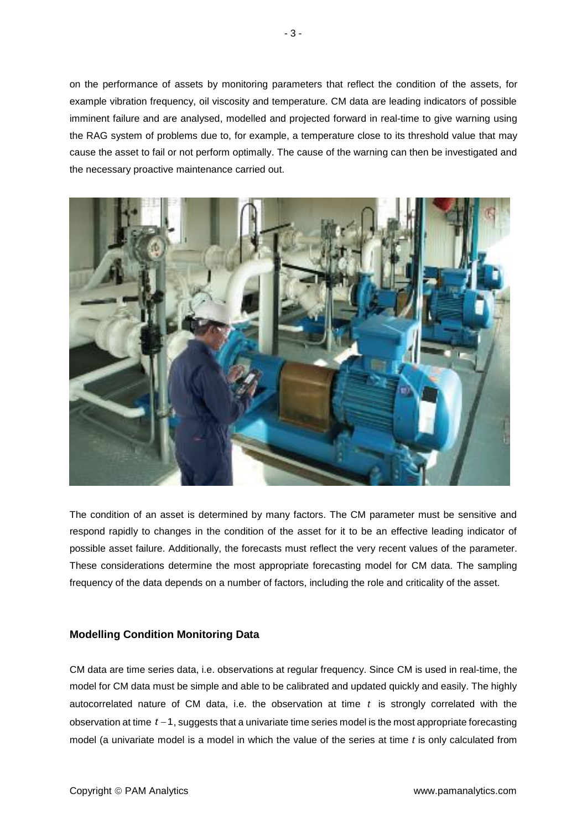on the performance of assets by monitoring parameters that reflect the condition of the assets, for example vibration frequency, oil viscosity and temperature. CM data are leading indicators of possible imminent failure and are analysed, modelled and projected forward in real-time to give warning using the RAG system of problems due to, for example, a temperature close to its threshold value that may cause the asset to fail or not perform optimally. The cause of the warning can then be investigated and the necessary proactive maintenance carried out.



The condition of an asset is determined by many factors. The CM parameter must be sensitive and respond rapidly to changes in the condition of the asset for it to be an effective leading indicator of possible asset failure. Additionally, the forecasts must reflect the very recent values of the parameter. These considerations determine the most appropriate forecasting model for CM data. The sampling frequency of the data depends on a number of factors, including the role and criticality of the asset.

## **Modelling Condition Monitoring Data**

CM data are time series data, i.e. observations at regular frequency. Since CM is used in real-time, the model for CM data must be simple and able to be calibrated and updated quickly and easily. The highly autocorrelated nature of CM data, i.e. the observation at time *t* is strongly correlated with the observation at time *t* −1, suggests that a univariate time series model is the most appropriate forecasting model (a univariate model is a model in which the value of the series at time *t* is only calculated from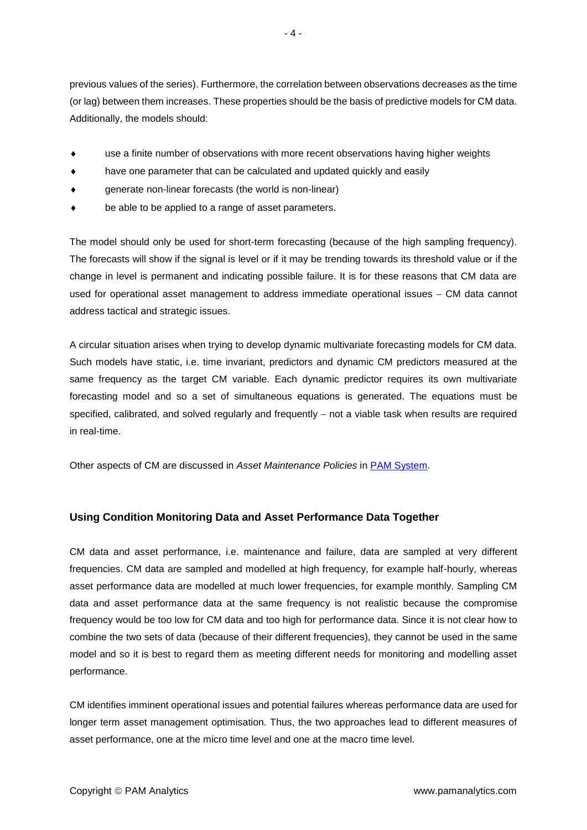- use a finite number of observations with more recent observations having higher weights
- have one parameter that can be calculated and updated quickly and easily
- generate non-linear forecasts (the world is non-linear)
- be able to be applied to a range of asset parameters.

The model should only be used for short-term forecasting (because of the high sampling frequency). The forecasts will show if the signal is level or if it may be trending towards its threshold value or if the change in level is permanent and indicating possible failure. It is for these reasons that CM data are used for operational asset management to address immediate operational issues − CM data cannot address tactical and strategic issues.

A circular situation arises when trying to develop dynamic multivariate forecasting models for CM data. Such models have static, i.e. time invariant, predictors and dynamic CM predictors measured at the same frequency as the target CM variable. Each dynamic predictor requires its own multivariate forecasting model and so a set of simultaneous equations is generated. The equations must be specified, calibrated, and solved regularly and frequently – not a viable task when results are required in real-time.

Other aspects of CM are discussed in *Asset Maintenance Policies* in [PAM System.](http://www.pamanalytics.com/PAM.html)

## **Using Condition Monitoring Data and Asset Performance Data Together**

CM data and asset performance, i.e. maintenance and failure, data are sampled at very different frequencies. CM data are sampled and modelled at high frequency, for example half-hourly, whereas asset performance data are modelled at much lower frequencies, for example monthly. Sampling CM data and asset performance data at the same frequency is not realistic because the compromise frequency would be too low for CM data and too high for performance data. Since it is not clear how to combine the two sets of data (because of their different frequencies), they cannot be used in the same model and so it is best to regard them as meeting different needs for monitoring and modelling asset performance.

CM identifies imminent operational issues and potential failures whereas performance data are used for longer term asset management optimisation. Thus, the two approaches lead to different measures of asset performance, one at the micro time level and one at the macro time level.